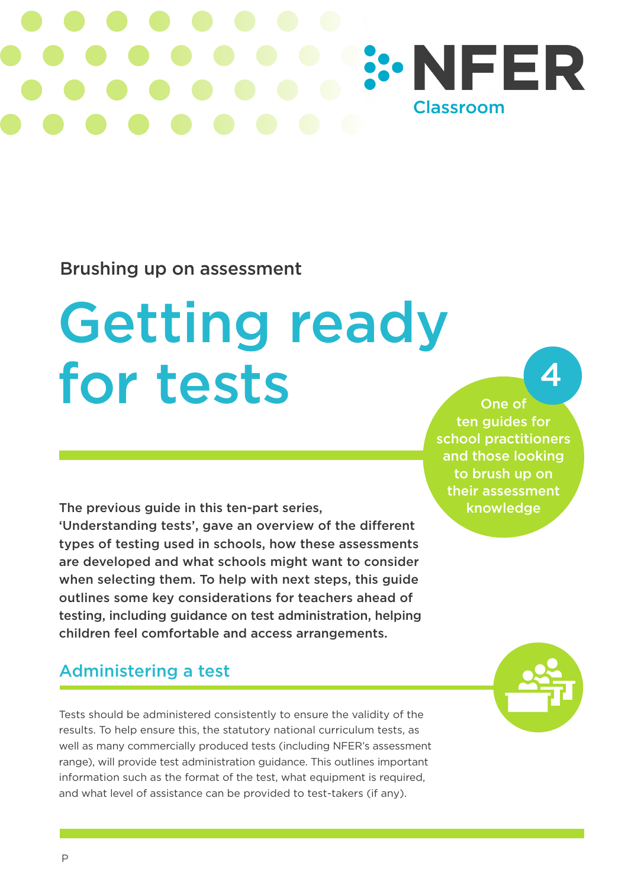# **:: NFER Classroom**

## Brushing up on assessment

# Getting ready for tests

The previous guide in this ten-part series,

'Understanding tests', gave an overview of the different types of testing used in schools, how these assessments are developed and what schools might want to consider when selecting them. To help with next steps, this guide outlines some key considerations for teachers ahead of testing, including guidance on test administration, helping children feel comfortable and access arrangements.

# Administering a test

Tests should be administered consistently to ensure the validity of the results. To help ensure this, the statutory national curriculum tests, as well as many commercially produced tests (including NFER's assessment range), will provide test administration guidance. This outlines important information such as the format of the test, what equipment is required, and what level of assistance can be provided to test-takers (if any).

school practitioners and those looking to brush up on their assessment knowledge

One of ten guides for

4

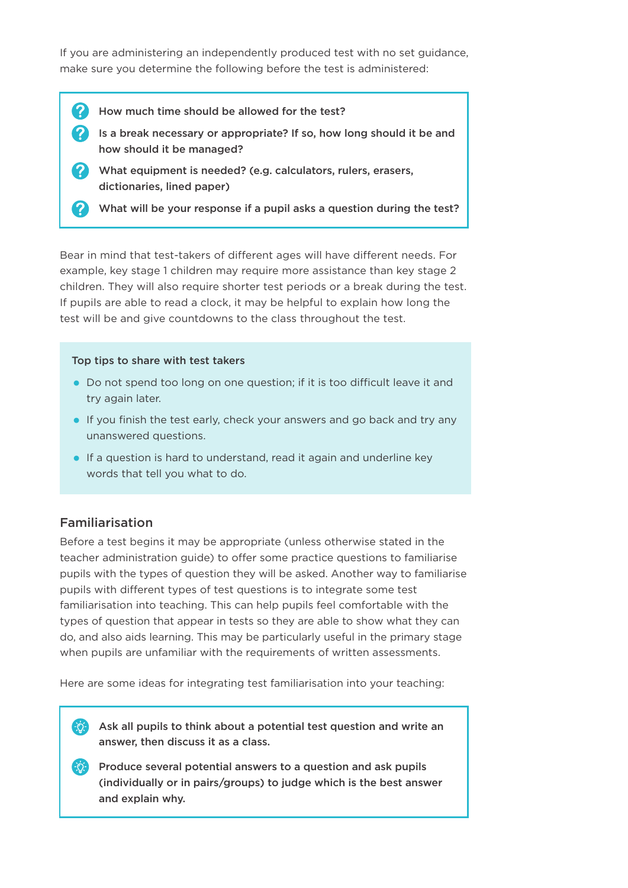If you are administering an independently produced test with no set guidance, make sure you determine the following before the test is administered:

- $(2)$ How much time should be allowed for the test?
	- Is a break necessary or appropriate? If so, how long should it be and how should it be managed?
	- What equipment is needed? (e.g. calculators, rulers, erasers, dictionaries, lined paper)
	- What will be your response if a pupil asks a question during the test?

Bear in mind that test-takers of different ages will have different needs. For example, key stage 1 children may require more assistance than key stage 2 children. They will also require shorter test periods or a break during the test. If pupils are able to read a clock, it may be helpful to explain how long the test will be and give countdowns to the class throughout the test.

#### Top tips to share with test takers

- Do not spend too long on one question; if it is too difficult leave it and try again later.
- If you finish the test early, check your answers and go back and try any unanswered questions.
- If a question is hard to understand, read it again and underline key words that tell you what to do.

#### Familiarisation

 $|2\rangle$ 

Before a test begins it may be appropriate (unless otherwise stated in the teacher administration guide) to offer some practice questions to familiarise pupils with the types of question they will be asked. Another way to familiarise pupils with different types of test questions is to integrate some test familiarisation into teaching. This can help pupils feel comfortable with the types of question that appear in tests so they are able to show what they can do, and also aids learning. This may be particularly useful in the primary stage when pupils are unfamiliar with the requirements of written assessments.

Here are some ideas for integrating test familiarisation into your teaching:

 $\ddot{\phi}$  Ask all pupils to think about a potential test question and write an answer, then discuss it as a class.

Produce several potential answers to a question and ask pupils (individually or in pairs/groups) to judge which is the best answer and explain why.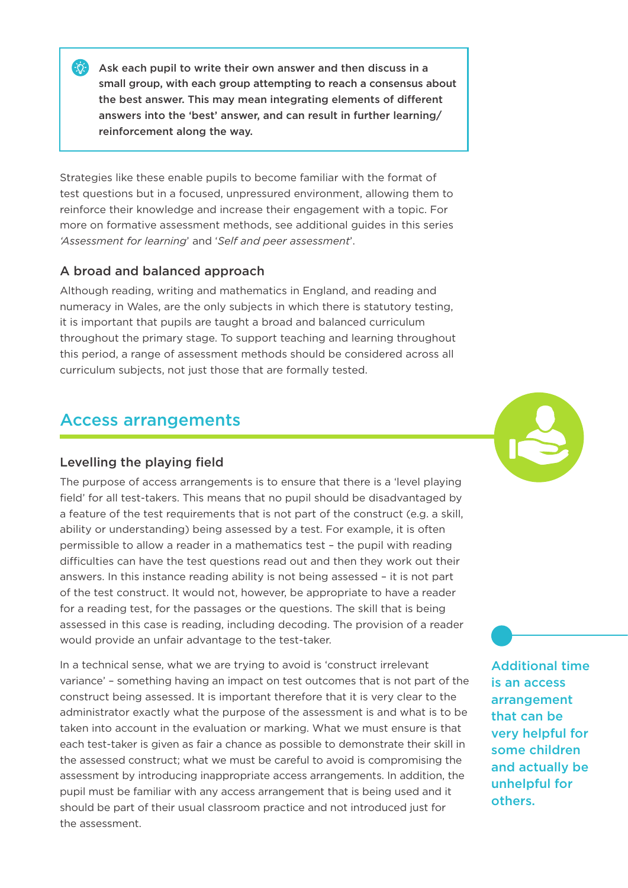Ask each pupil to write their own answer and then discuss in a small group, with each group attempting to reach a consensus about the best answer. This may mean integrating elements of different answers into the 'best' answer, and can result in further learning/ reinforcement along the way.

Strategies like these enable pupils to become familiar with the format of test questions but in a focused, unpressured environment, allowing them to reinforce their knowledge and increase their engagement with a topic. For more on formative assessment methods, see additional guides in this series *'Assessment for learning*' and '*Self and peer assessment*'.

### A broad and balanced approach

ΞÒ-

Although reading, writing and mathematics in England, and reading and numeracy in Wales, are the only subjects in which there is statutory testing, it is important that pupils are taught a broad and balanced curriculum throughout the primary stage. To support teaching and learning throughout this period, a range of assessment methods should be considered across all curriculum subjects, not just those that are formally tested.

### Access arrangements

#### Levelling the playing field

The purpose of access arrangements is to ensure that there is a 'level playing field' for all test-takers. This means that no pupil should be disadvantaged by a feature of the test requirements that is not part of the construct (e.g. a skill, ability or understanding) being assessed by a test. For example, it is often permissible to allow a reader in a mathematics test – the pupil with reading difficulties can have the test questions read out and then they work out their answers. In this instance reading ability is not being assessed – it is not part of the test construct. It would not, however, be appropriate to have a reader for a reading test, for the passages or the questions. The skill that is being assessed in this case is reading, including decoding. The provision of a reader would provide an unfair advantage to the test-taker.

In a technical sense, what we are trying to avoid is 'construct irrelevant variance' – something having an impact on test outcomes that is not part of the construct being assessed. It is important therefore that it is very clear to the administrator exactly what the purpose of the assessment is and what is to be taken into account in the evaluation or marking. What we must ensure is that each test-taker is given as fair a chance as possible to demonstrate their skill in the assessed construct; what we must be careful to avoid is compromising the assessment by introducing inappropriate access arrangements. In addition, the pupil must be familiar with any access arrangement that is being used and it should be part of their usual classroom practice and not introduced just for the assessment.



Additional time is an access arrangement that can be very helpful for some children and actually be unhelpful for others.